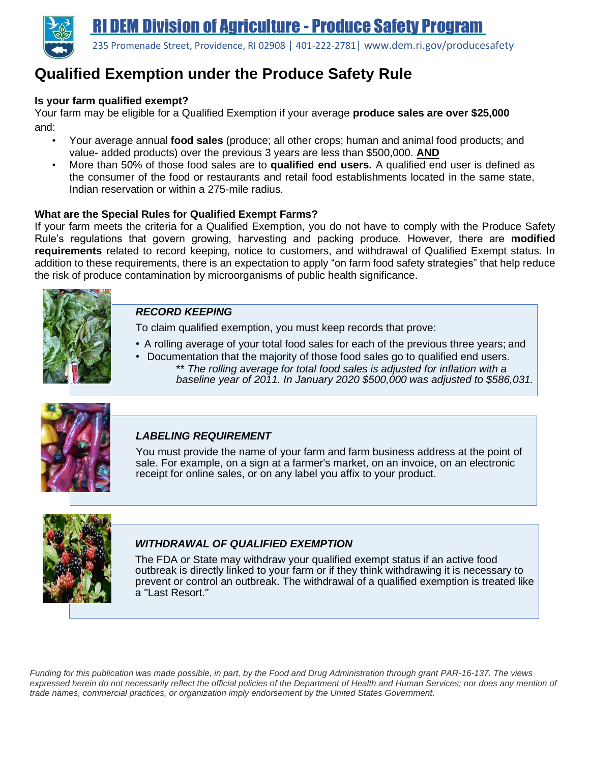

235 Promenade Street, Providence, RI 02908 | 401-222-2781| [www.dem.ri.gov/producesafety](http://www.dem.ri.gov/producesafety)

# **Qualified Exemption under the Produce Safety Rule**

### **Is your farm qualified exempt?**

Your farm may be eligible for a Qualified Exemption if your average **produce sales are over \$25,000** and:

- Your average annual **food sales** (produce; all other crops; human and animal food products; and value- added products) over the previous 3 years are less than \$500,000. **AND**
- More than 50% of those food sales are to **qualified end users.** A qualified end user is defined as the consumer of the food or restaurants and retail food establishments located in the same state, Indian reservation or within a 275-mile radius.

#### **What are the Special Rules for Qualified Exempt Farms?**

If your farm meets the criteria for a Qualified Exemption, you do not have to comply with the Produce Safety Rule's regulations that govern growing, harvesting and packing produce. However, there are **modified requirements** related to record keeping, notice to customers, and withdrawal of Qualified Exempt status. In addition to these requirements, there is an expectation to apply "on farm food safety strategies" that help reduce the risk of produce contamination by microorganisms of public health significance.



# *RECORD KEEPING*

To claim qualified exemption, you must keep records that prove:

- A rolling average of your total food sales for each of the previous three years; and
- Documentation that the majority of those food sales go to qualified end users. \*\* *The rolling average for total food sales is adjusted for inflation with a baseline year of 2011. In January 2020 \$500,000 was adjusted to \$586,031.*



# *LABELING REQUIREMENT*

You must provide the name of your farm and farm business address at the point of sale. For example, on a sign at a farmer's market, on an invoice, on an electronic receipt for online sales, or on any label you affix to your product.



# *WITHDRAWAL OF QUALIFIED EXEMPTION*

The FDA or State may withdraw your qualified exempt status if an active food outbreak is directly linked to your farm or if they think withdrawing it is necessary to prevent or control an outbreak. The withdrawal of a qualified exemption is treated like a "Last Resort."

*Funding for this publication was made possible, in part, by the Food and Drug Administration through grant PAR-16-137. The views*  expressed herein do not necessarily reflect the official policies of the Department of Health and Human Services; nor does any mention of *trade names, commercial practices, or organization imply endorsement by the United States Government.*